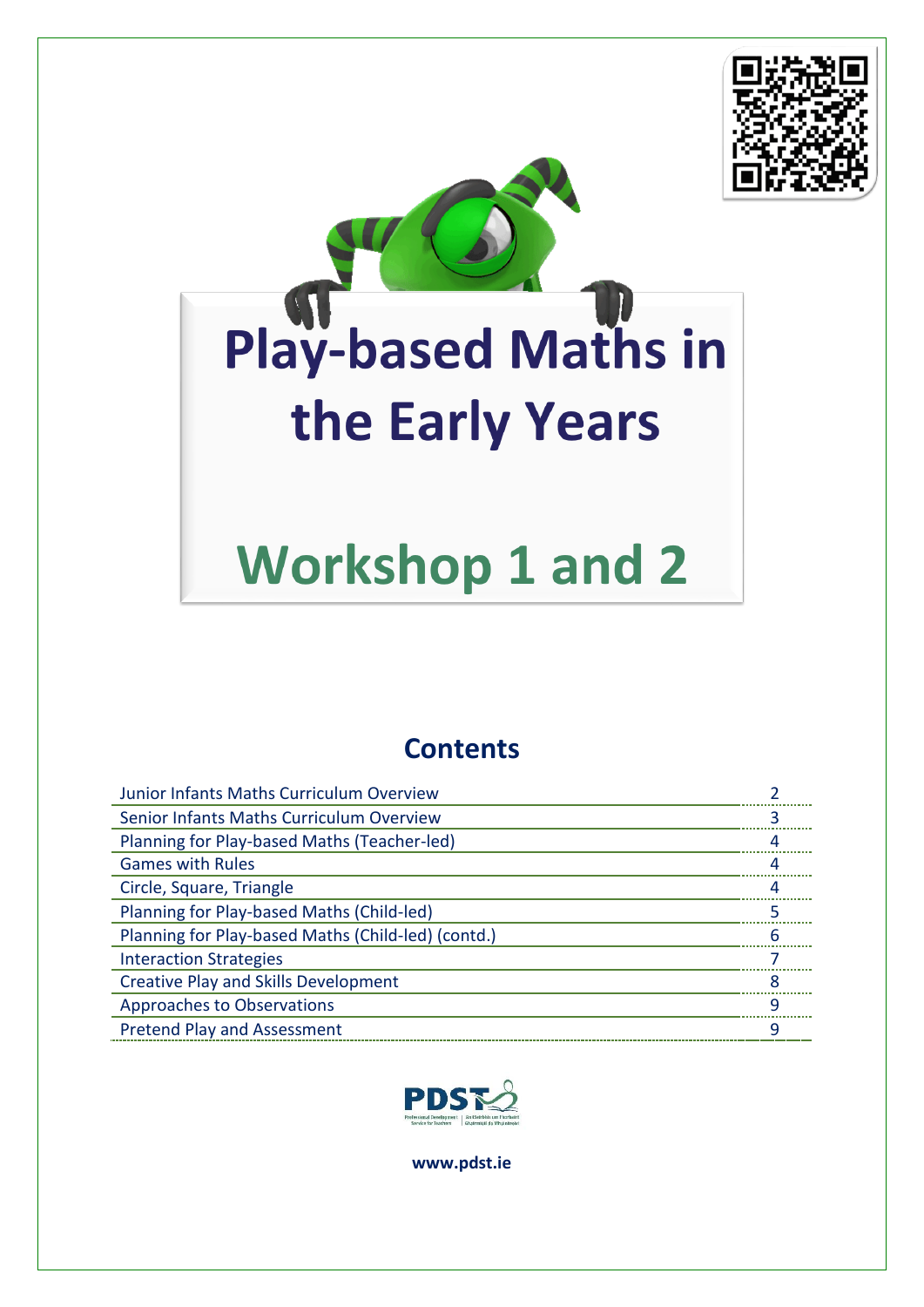



# **Workshop 1 and 2**

## **Contents**

| Junior Infants Maths Curriculum Overview           |   |
|----------------------------------------------------|---|
| Senior Infants Maths Curriculum Overview           |   |
| Planning for Play-based Maths (Teacher-led)        |   |
| <b>Games with Rules</b>                            |   |
| Circle, Square, Triangle                           |   |
| Planning for Play-based Maths (Child-led)          |   |
| Planning for Play-based Maths (Child-led) (contd.) | 6 |
| <b>Interaction Strategies</b>                      |   |
| <b>Creative Play and Skills Development</b>        |   |
| <b>Approaches to Observations</b>                  | q |
| <b>Pretend Play and Assessment</b>                 |   |



**www.pdst.ie**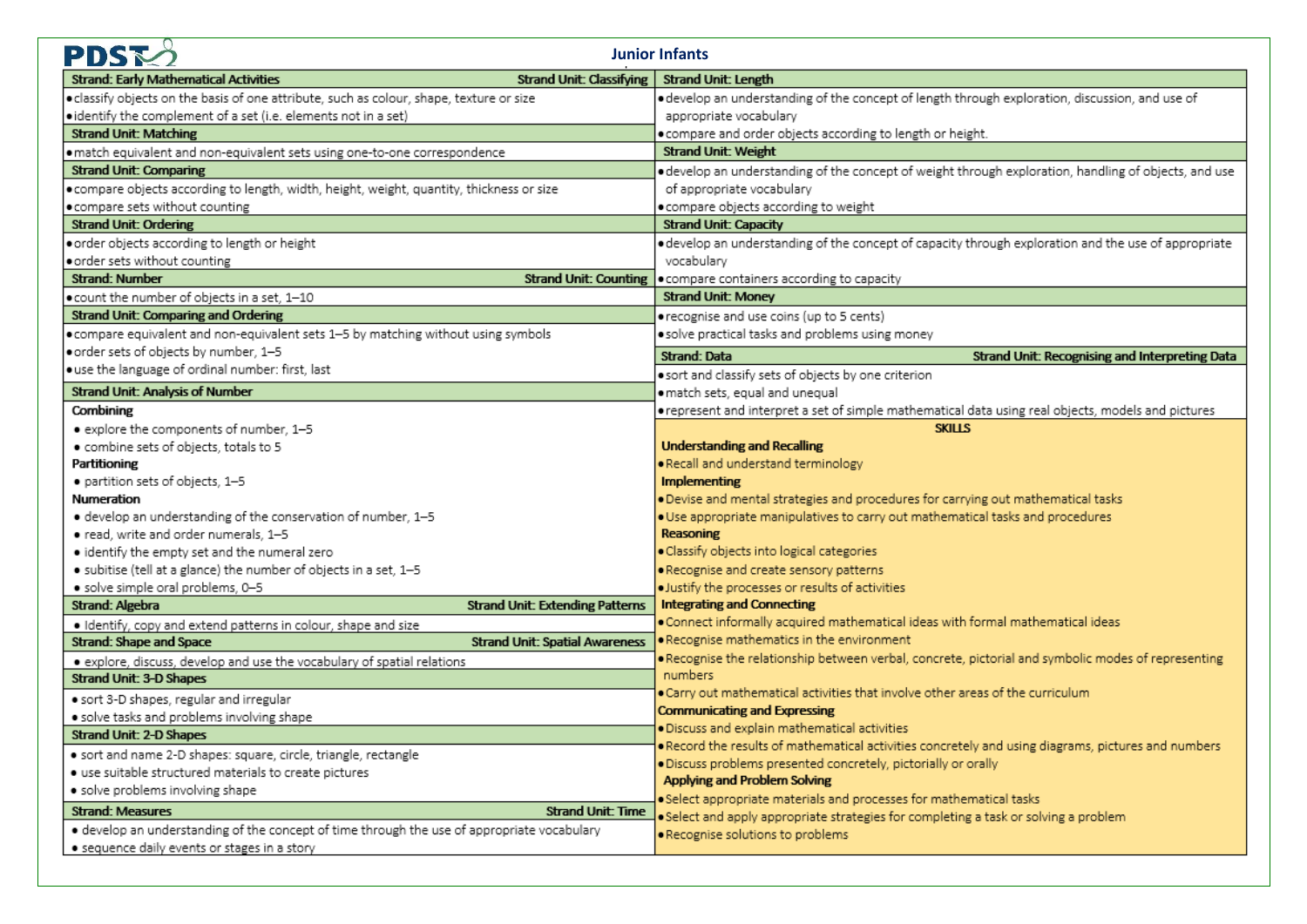| PDS<br><b>Junior Infants</b>                                                                |                                                                                                                                                                       |  |  |  |
|---------------------------------------------------------------------------------------------|-----------------------------------------------------------------------------------------------------------------------------------------------------------------------|--|--|--|
| <b>Strand Unit: Classifying</b><br><b>Strand: Early Mathematical Activities</b>             | <b>Strand Unit: Length</b>                                                                                                                                            |  |  |  |
| · classify objects on the basis of one attribute, such as colour, shape, texture or size    | · develop an understanding of the concept of length through exploration, discussion, and use of                                                                       |  |  |  |
| • identify the complement of a set (i.e. elements not in a set)                             | appropriate vocabulary                                                                                                                                                |  |  |  |
| <b>Strand Unit: Matching</b>                                                                | . compare and order objects according to length or height.                                                                                                            |  |  |  |
| · match equivalent and non-equivalent sets using one-to-one correspondence                  | <b>Strand Unit: Weight</b>                                                                                                                                            |  |  |  |
| <b>Strand Unit: Comparing</b>                                                               | · develop an understanding of the concept of weight through exploration, handling of objects, and use                                                                 |  |  |  |
| . compare objects according to length, width, height, weight, quantity, thickness or size   | of appropriate vocabulary                                                                                                                                             |  |  |  |
| . compare sets without counting                                                             | · compare objects according to weight                                                                                                                                 |  |  |  |
| <b>Strand Unit: Ordering</b>                                                                | <b>Strand Unit: Capacity</b>                                                                                                                                          |  |  |  |
| order objects according to length or height                                                 | · develop an understanding of the concept of capacity through exploration and the use of appropriate                                                                  |  |  |  |
| order sets without counting                                                                 | vocabulary                                                                                                                                                            |  |  |  |
| <b>Strand: Number</b><br><b>Strand Unit: Counting</b>                                       | . compare containers according to capacity                                                                                                                            |  |  |  |
| . count the number of objects in a set. 1-10                                                | <b>Strand Unit: Money</b>                                                                                                                                             |  |  |  |
| <b>Strand Unit: Comparing and Ordering</b>                                                  | • recognise and use coins (up to 5 cents)                                                                                                                             |  |  |  |
| . compare equivalent and non-equivalent sets 1-5 by matching without using symbols          | · solve practical tasks and problems using money                                                                                                                      |  |  |  |
| order sets of objects by number, 1-5                                                        | <b>Strand: Data</b><br>Strand Unit: Recognising and Interpreting Data                                                                                                 |  |  |  |
| · use the language of ordinal number: first, last                                           | · sort and classify sets of objects by one criterion                                                                                                                  |  |  |  |
| <b>Strand Unit: Analysis of Number</b>                                                      | · match sets, equal and unequal                                                                                                                                       |  |  |  |
| Combining                                                                                   | orepresent and interpret a set of simple mathematical data using real objects, models and pictures                                                                    |  |  |  |
| · explore the components of number, 1-5                                                     | <b>SKILLS</b>                                                                                                                                                         |  |  |  |
| · combine sets of objects, totals to 5                                                      | <b>Understanding and Recalling</b>                                                                                                                                    |  |  |  |
| Partitioning                                                                                | . Recall and understand terminology                                                                                                                                   |  |  |  |
| · partition sets of objects, 1-5                                                            | Implementing                                                                                                                                                          |  |  |  |
| <b>Numeration</b>                                                                           | . Devise and mental strategies and procedures for carrying out mathematical tasks                                                                                     |  |  |  |
| · develop an understanding of the conservation of number, 1-5                               | . Use appropriate manipulatives to carry out mathematical tasks and procedures                                                                                        |  |  |  |
| · read, write and order numerals, 1-5                                                       | Reasoning                                                                                                                                                             |  |  |  |
| · identify the empty set and the numeral zero                                               | · Classify objects into logical categories                                                                                                                            |  |  |  |
| · subitise (tell at a glance) the number of objects in a set, 1-5                           | . Recognise and create sensory patterns                                                                                                                               |  |  |  |
| · solve simple oral problems, 0-5                                                           | · Justify the processes or results of activities                                                                                                                      |  |  |  |
| Strand: Algebra<br><b>Strand Unit: Extending Patterns</b>                                   | <b>Integrating and Connecting</b>                                                                                                                                     |  |  |  |
| · Identify, copy and extend patterns in colour, shape and size                              | . Connect informally acquired mathematical ideas with formal mathematical ideas                                                                                       |  |  |  |
| Strand: Shape and Space<br><b>Strand Unit: Spatial Awareness</b>                            | . Recognise mathematics in the environment                                                                                                                            |  |  |  |
| · explore, discuss, develop and use the vocabulary of spatial relations                     | . Recognise the relationship between verbal, concrete, pictorial and symbolic modes of representing<br>numbers                                                        |  |  |  |
| <b>Strand Unit: 3-D Shapes</b>                                                              | . Carry out mathematical activities that involve other areas of the curriculum                                                                                        |  |  |  |
| · sort 3-D shapes, regular and irregular                                                    |                                                                                                                                                                       |  |  |  |
| · solve tasks and problems involving shape                                                  | <b>Communicating and Expressing</b>                                                                                                                                   |  |  |  |
| <b>Strand Unit: 2-D Shapes</b>                                                              | · Discuss and explain mathematical activities                                                                                                                         |  |  |  |
| · sort and name 2-D shapes: square, circle, triangle, rectangle                             | . Record the results of mathematical activities concretely and using diagrams, pictures and numbers<br>· Discuss problems presented concretely, pictorially or orally |  |  |  |
| · use suitable structured materials to create pictures                                      | <b>Applying and Problem Solving</b>                                                                                                                                   |  |  |  |
| · solve problems involving shape                                                            | . Select appropriate materials and processes for mathematical tasks                                                                                                   |  |  |  |
| <b>Strand: Measures</b><br><b>Strand Unit: Time</b>                                         | . Select and apply appropriate strategies for completing a task or solving a problem                                                                                  |  |  |  |
| · develop an understanding of the concept of time through the use of appropriate vocabulary | · Recognise solutions to problems                                                                                                                                     |  |  |  |
| • sequence daily events or stages in a story                                                |                                                                                                                                                                       |  |  |  |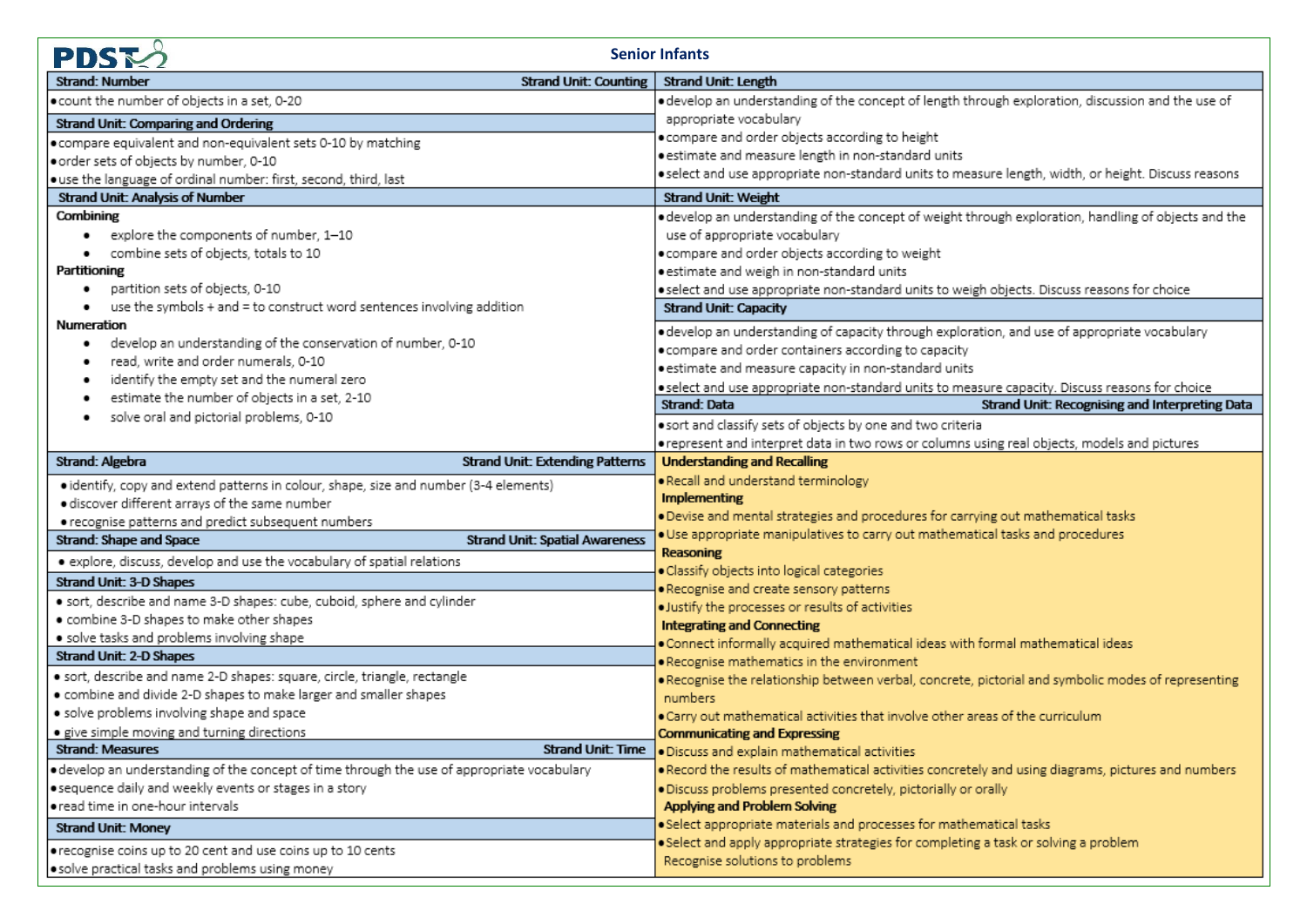| <b>PDST</b><br><b>Senior Infants</b>                                                        |                                                                                                                |  |  |  |
|---------------------------------------------------------------------------------------------|----------------------------------------------------------------------------------------------------------------|--|--|--|
| Strand Unit: Counting<br><b>Strand: Number</b>                                              | <b>Strand Unit: Length</b>                                                                                     |  |  |  |
| . count the number of objects in a set, 0-20                                                | e develop an understanding of the concept of length through exploration, discussion and the use of             |  |  |  |
| <b>Strand Unit: Comparing and Ordering</b>                                                  | appropriate vocabulary                                                                                         |  |  |  |
| . compare equivalent and non-equivalent sets 0-10 by matching                               | compare and order objects according to height                                                                  |  |  |  |
| order sets of objects by number, 0-10                                                       | estimate and measure length in non-standard units                                                              |  |  |  |
| · use the language of ordinal number: first, second, third, last                            | select and use appropriate non-standard units to measure length, width, or height. Discuss reasons             |  |  |  |
| <b>Strand Unit: Analysis of Number</b>                                                      | <b>Strand Unit: Weight</b>                                                                                     |  |  |  |
| Combining                                                                                   | e develop an understanding of the concept of weight through exploration, handling of objects and the           |  |  |  |
| explore the components of number, 1-10                                                      | use of appropriate vocabulary                                                                                  |  |  |  |
| combine sets of objects, totals to 10                                                       | e compare and order objects according to weight                                                                |  |  |  |
| Partitioning                                                                                | estimate and weigh in non-standard units                                                                       |  |  |  |
| partition sets of objects, 0-10                                                             | select and use appropriate non-standard units to weigh objects. Discuss reasons for choice                     |  |  |  |
| use the symbols + and = to construct word sentences involving addition                      | <b>Strand Unit: Capacity</b>                                                                                   |  |  |  |
| Numeration                                                                                  | edevelop an understanding of capacity through exploration, and use of appropriate vocabulary                   |  |  |  |
| develop an understanding of the conservation of number, 0-10                                | compare and order containers according to capacity $\bullet$                                                   |  |  |  |
| read, write and order numerals, 0-10                                                        | estimate and measure capacity in non-standard units                                                            |  |  |  |
| identify the empty set and the numeral zero                                                 | eselect and use appropriate non-standard units to measure capacity. Discuss reasons for choice                 |  |  |  |
| estimate the number of objects in a set, 2-10                                               | Strand Unit: Recognising and Interpreting Data<br>Strand: Data                                                 |  |  |  |
| solve oral and pictorial problems, 0-10                                                     | sort and classify sets of objects by one and two criteria                                                      |  |  |  |
|                                                                                             | orepresent and interpret data in two rows or columns using real objects, models and pictures                   |  |  |  |
| Strand: Algebra<br><b>Strand Unit: Extending Patterns</b>                                   | <b>Understanding and Recalling</b>                                                                             |  |  |  |
| · identify, copy and extend patterns in colour, shape, size and number (3-4 elements)       | Recall and understand terminology                                                                              |  |  |  |
| · discover different arrays of the same number                                              | Implementing                                                                                                   |  |  |  |
| · recognise patterns and predict subsequent numbers                                         | . Devise and mental strategies and procedures for carrying out mathematical tasks                              |  |  |  |
| Strand: Shape and Space<br><b>Strand Unit: Spatial Awareness</b>                            | . Use appropriate manipulatives to carry out mathematical tasks and procedures                                 |  |  |  |
| · explore, discuss, develop and use the vocabulary of spatial relations                     | Reasoning                                                                                                      |  |  |  |
| Strand Unit: 3-D Shapes                                                                     | · Classify objects into logical categories                                                                     |  |  |  |
| · sort, describe and name 3-D shapes: cube, cuboid, sphere and cylinder                     | . Recognise and create sensory patterns                                                                        |  |  |  |
| . combine 3-D shapes to make other shapes                                                   | · Justify the processes or results of activities                                                               |  |  |  |
| · solve tasks and problems involving shape                                                  | <b>Integrating and Connecting</b>                                                                              |  |  |  |
| <b>Strand Unit: 2-D Shapes</b>                                                              | . Connect informally acquired mathematical ideas with formal mathematical ideas                                |  |  |  |
| · sort, describe and name 2-D shapes: square, circle, triangle, rectangle                   | . Recognise mathematics in the environment                                                                     |  |  |  |
| · combine and divide 2-D shapes to make larger and smaller shapes                           | · Recognise the relationship between verbal, concrete, pictorial and symbolic modes of representing<br>numbers |  |  |  |
| · solve problems involving shape and space                                                  | . Carry out mathematical activities that involve other areas of the curriculum                                 |  |  |  |
| · give simple moving and turning directions                                                 | <b>Communicating and Expressing</b>                                                                            |  |  |  |
| <b>Strand Unit: Time</b><br><b>Strand: Measures</b>                                         | · Discuss and explain mathematical activities                                                                  |  |  |  |
| · develop an understanding of the concept of time through the use of appropriate vocabulary | . Record the results of mathematical activities concretely and using diagrams, pictures and numbers            |  |  |  |
| · sequence daily and weekly events or stages in a story                                     | . Discuss problems presented concretely, pictorially or orally                                                 |  |  |  |
| . read time in one-hour intervals                                                           | Applying and Problem Solving                                                                                   |  |  |  |
| <b>Strand Unit: Money</b>                                                                   | · Select appropriate materials and processes for mathematical tasks                                            |  |  |  |
|                                                                                             | . Select and apply appropriate strategies for completing a task or solving a problem                           |  |  |  |
| orecognise coins up to 20 cent and use coins up to 10 cents                                 | Recognise solutions to problems                                                                                |  |  |  |
| solve practical tasks and problems using money                                              |                                                                                                                |  |  |  |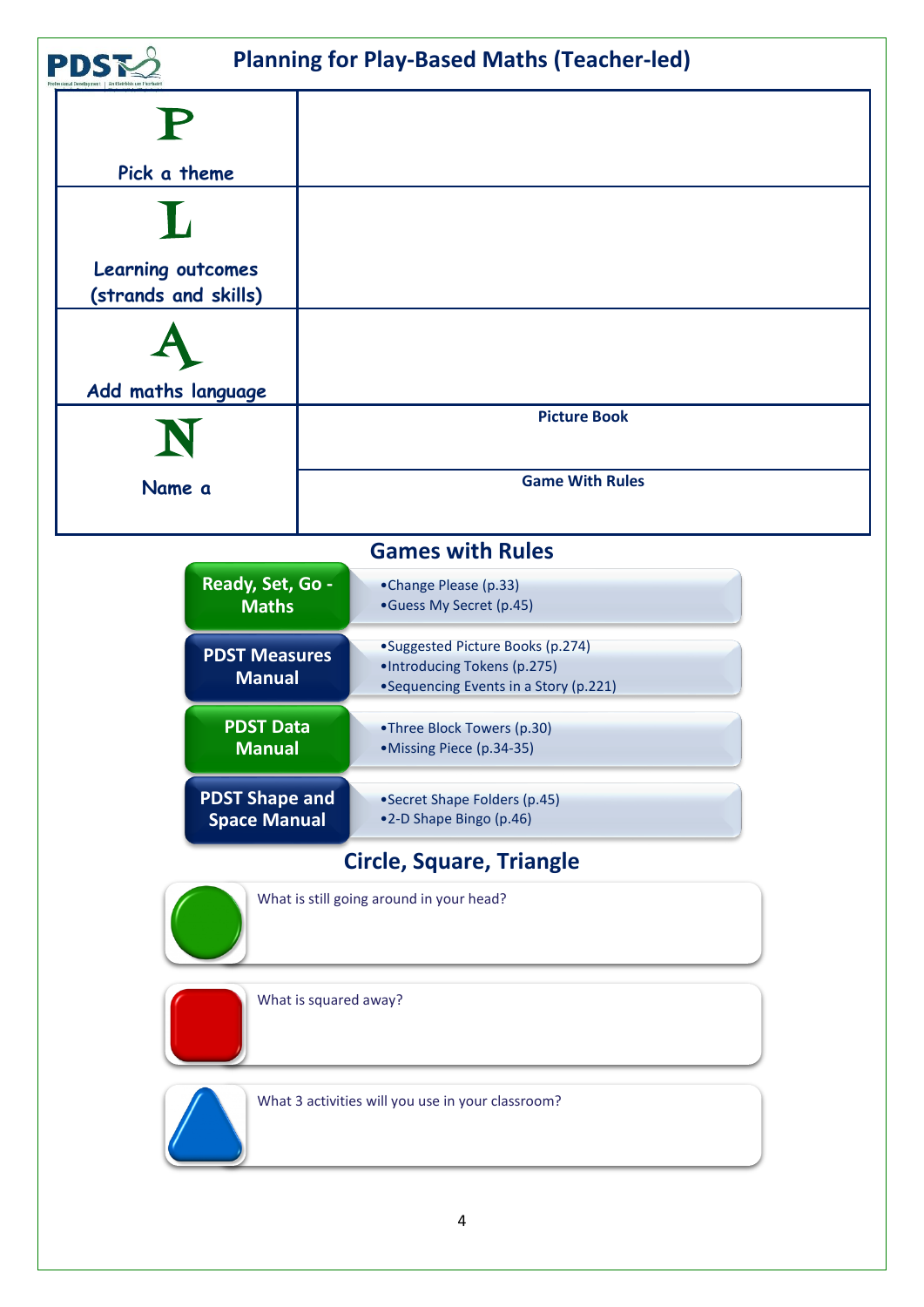

What 3 activities will you use in your classroom?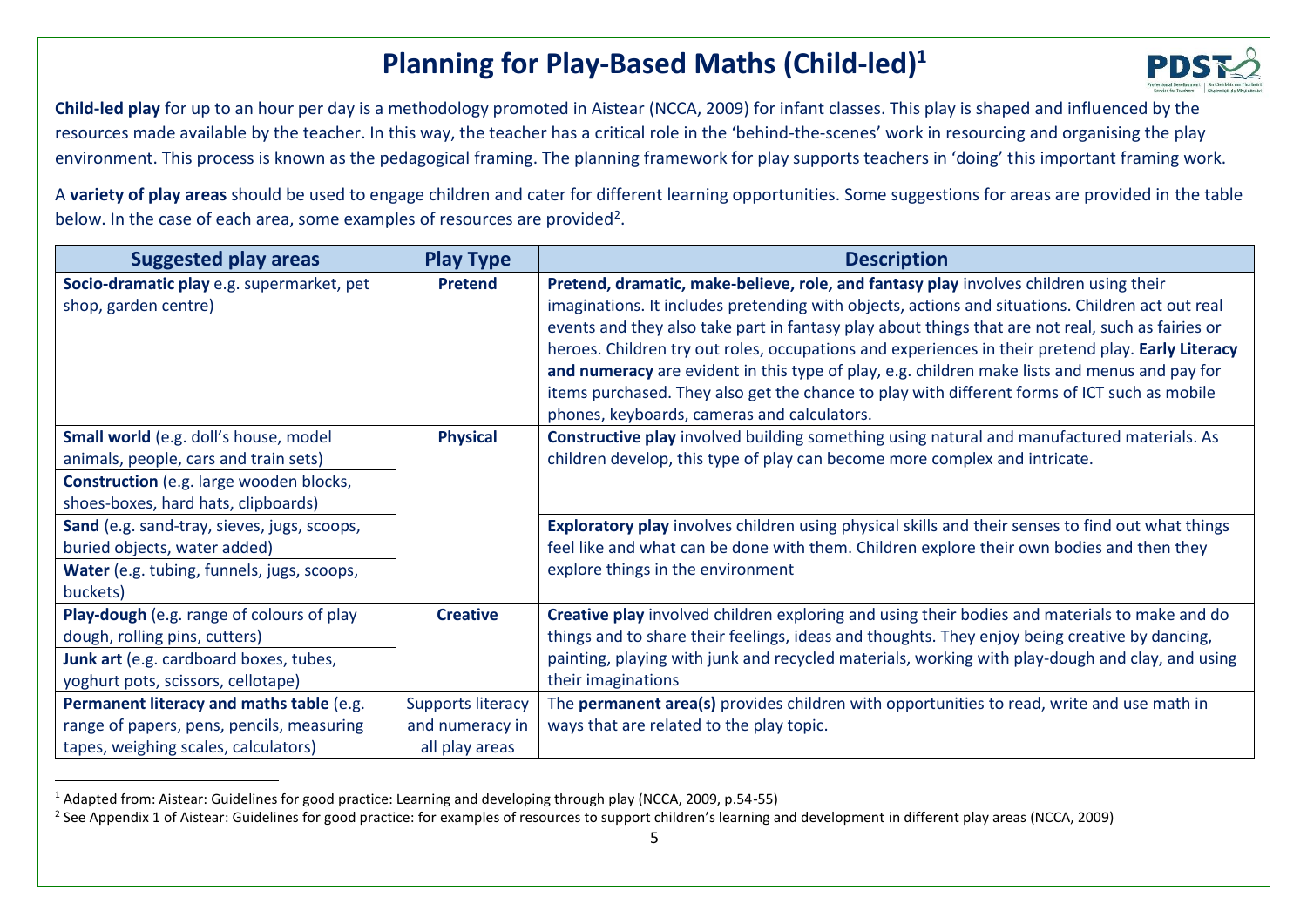## **Planning for Play-Based Maths (Child-led)<sup>1</sup>**



**Child-led play** for up to an hour per day is a methodology promoted in Aistear (NCCA, 2009) for infant classes. This play is shaped and influenced by the resources made available by the teacher. In this way, the teacher has a critical role in the 'behind-the-scenes' work in resourcing and organising the play environment. This process is known as the pedagogical framing. The planning framework for play supports teachers in 'doing' this important framing work.

A **variety of play areas** should be used to engage children and cater for different learning opportunities. Some suggestions for areas are provided in the table below. In the case of each area, some examples of resources are provided<sup>2</sup>.

| <b>Suggested play areas</b>                                                                                                                                | <b>Play Type</b>                                              | <b>Description</b>                                                                                                                                                                                                                                                                                                                                                                                                                                                                                                                                                                                                                                  |
|------------------------------------------------------------------------------------------------------------------------------------------------------------|---------------------------------------------------------------|-----------------------------------------------------------------------------------------------------------------------------------------------------------------------------------------------------------------------------------------------------------------------------------------------------------------------------------------------------------------------------------------------------------------------------------------------------------------------------------------------------------------------------------------------------------------------------------------------------------------------------------------------------|
| Socio-dramatic play e.g. supermarket, pet<br>shop, garden centre)                                                                                          | <b>Pretend</b>                                                | Pretend, dramatic, make-believe, role, and fantasy play involves children using their<br>imaginations. It includes pretending with objects, actions and situations. Children act out real<br>events and they also take part in fantasy play about things that are not real, such as fairies or<br>heroes. Children try out roles, occupations and experiences in their pretend play. Early Literacy<br>and numeracy are evident in this type of play, e.g. children make lists and menus and pay for<br>items purchased. They also get the chance to play with different forms of ICT such as mobile<br>phones, keyboards, cameras and calculators. |
| Small world (e.g. doll's house, model<br>animals, people, cars and train sets)                                                                             | <b>Physical</b>                                               | Constructive play involved building something using natural and manufactured materials. As<br>children develop, this type of play can become more complex and intricate.                                                                                                                                                                                                                                                                                                                                                                                                                                                                            |
| <b>Construction</b> (e.g. large wooden blocks,<br>shoes-boxes, hard hats, clipboards)                                                                      |                                                               |                                                                                                                                                                                                                                                                                                                                                                                                                                                                                                                                                                                                                                                     |
| Sand (e.g. sand-tray, sieves, jugs, scoops,<br>buried objects, water added)<br>Water (e.g. tubing, funnels, jugs, scoops,<br>buckets)                      |                                                               | Exploratory play involves children using physical skills and their senses to find out what things<br>feel like and what can be done with them. Children explore their own bodies and then they<br>explore things in the environment                                                                                                                                                                                                                                                                                                                                                                                                                 |
| Play-dough (e.g. range of colours of play<br>dough, rolling pins, cutters)<br>Junk art (e.g. cardboard boxes, tubes,<br>yoghurt pots, scissors, cellotape) | <b>Creative</b>                                               | Creative play involved children exploring and using their bodies and materials to make and do<br>things and to share their feelings, ideas and thoughts. They enjoy being creative by dancing,<br>painting, playing with junk and recycled materials, working with play-dough and clay, and using<br>their imaginations                                                                                                                                                                                                                                                                                                                             |
| Permanent literacy and maths table (e.g.<br>range of papers, pens, pencils, measuring<br>tapes, weighing scales, calculators)                              | <b>Supports literacy</b><br>and numeracy in<br>all play areas | The permanent area(s) provides children with opportunities to read, write and use math in<br>ways that are related to the play topic.                                                                                                                                                                                                                                                                                                                                                                                                                                                                                                               |

<sup>&</sup>lt;sup>1</sup> Adapted from: Aistear: Guidelines for good practice: Learning and developing through play (NCCA, 2009, p.54-55)

 $\ddot{\phantom{a}}$ 

<sup>&</sup>lt;sup>2</sup> See Appendix 1 of Aistear: Guidelines for good practice: for examples of resources to support children's learning and development in different play areas (NCCA, 2009)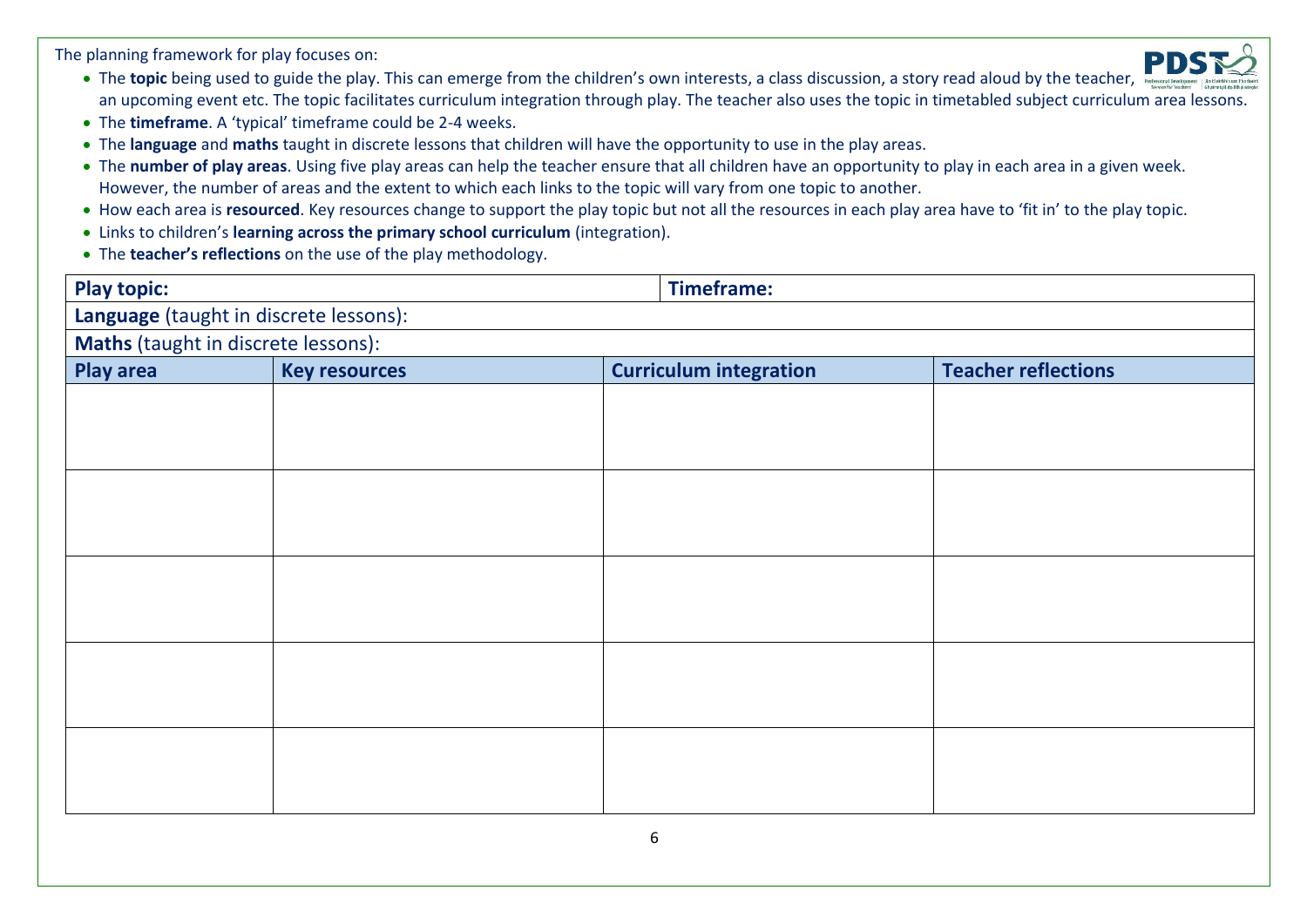The planning framework for play focuses on:

- The **topic** being used to guide the play. This can emerge from the children's own interests, a class discussion, a story read aloud by the teacher, an upcoming event etc. The topic facilitates curriculum integration through play. The teacher also uses the topic in timetabled subject curriculum area lessons.
- The **timeframe**. A 'typical' timeframe could be 2-4 weeks.
- The **language** and **maths** taught in discrete lessons that children will have the opportunity to use in the play areas.
- The **number of play areas**. Using five play areas can help the teacher ensure that all children have an opportunity to play in each area in a given week. However, the number of areas and the extent to which each links to the topic will vary from one topic to another.
- How each area is **resourced**. Key resources change to support the play topic but not all the resources in each play area have to 'fit in' to the play topic.
- Links to children's **learning across the primary school curriculum** (integration).
- The **teacher's reflections** on the use of the play methodology.

| <b>Play topic:</b>                     |                      | <b>Timeframe:</b> |                               |                            |  |  |
|----------------------------------------|----------------------|-------------------|-------------------------------|----------------------------|--|--|
| Language (taught in discrete lessons): |                      |                   |                               |                            |  |  |
| Maths (taught in discrete lessons):    |                      |                   |                               |                            |  |  |
| <b>Play area</b>                       | <b>Key resources</b> |                   | <b>Curriculum integration</b> | <b>Teacher reflections</b> |  |  |
|                                        |                      |                   |                               |                            |  |  |
|                                        |                      |                   |                               |                            |  |  |
|                                        |                      |                   |                               |                            |  |  |
|                                        |                      |                   |                               |                            |  |  |
|                                        |                      |                   |                               |                            |  |  |
|                                        |                      |                   |                               |                            |  |  |
|                                        |                      |                   |                               |                            |  |  |
|                                        |                      |                   |                               |                            |  |  |
|                                        |                      |                   |                               |                            |  |  |
|                                        |                      |                   |                               |                            |  |  |
|                                        |                      |                   |                               |                            |  |  |
|                                        |                      |                   |                               |                            |  |  |
|                                        |                      |                   |                               |                            |  |  |
|                                        |                      |                   |                               |                            |  |  |
|                                        |                      |                   |                               |                            |  |  |
|                                        |                      |                   |                               |                            |  |  |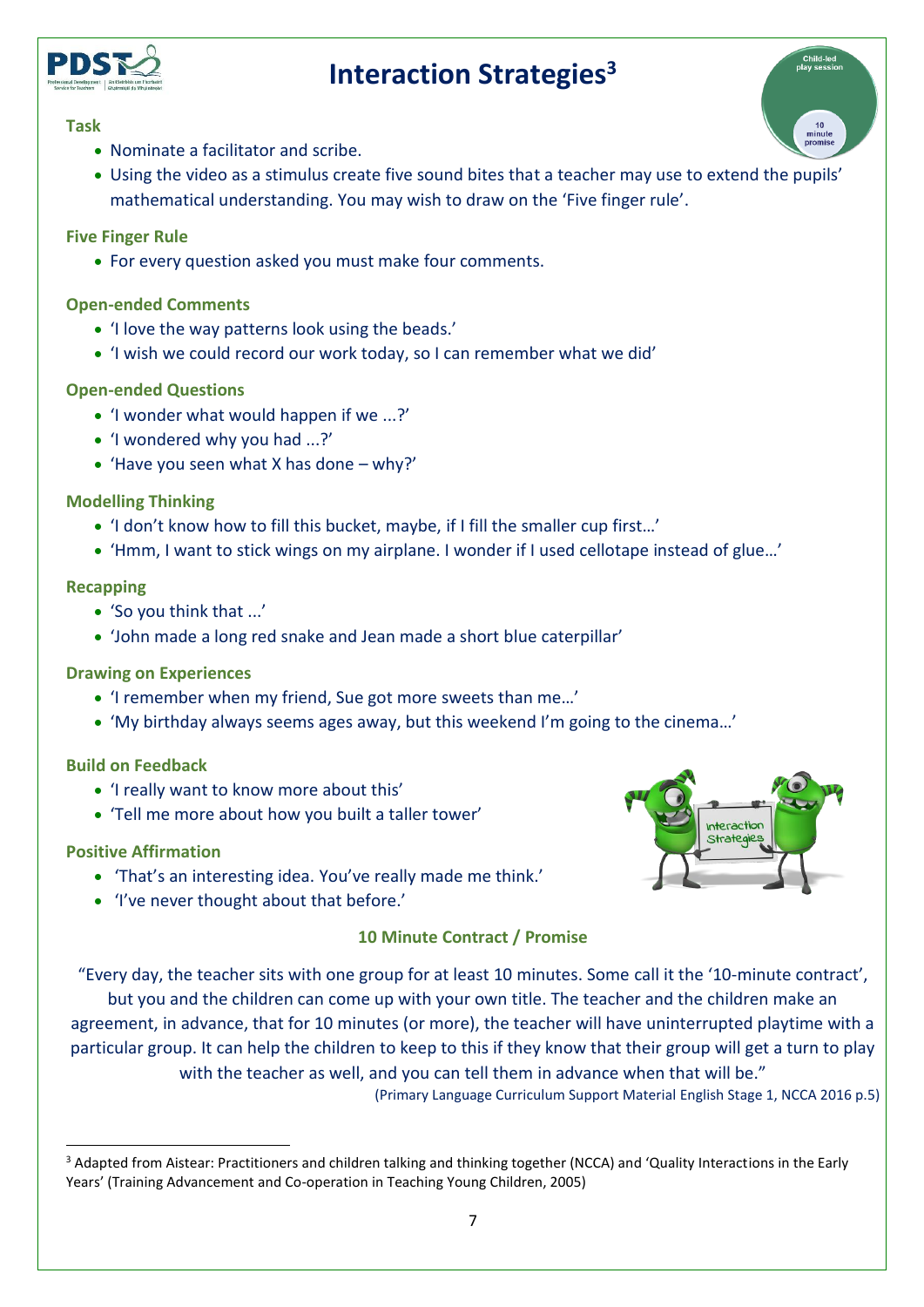

#### **Task**

- Nominate a facilitator and scribe.
- Using the video as a stimulus create five sound bites that a teacher may use to extend the pupils' mathematical understanding. You may wish to draw on the 'Five finger rule'.

#### **Five Finger Rule**

• For every question asked you must make four comments.

#### **Open-ended Comments**

- 'I love the way patterns look using the beads.'
- 'I wish we could record our work today, so I can remember what we did'

#### **Open-ended Questions**

- 'I wonder what would happen if we ...?'
- 'I wondered why you had ...?'
- 'Have you seen what X has done  $-$  why?'

#### **Modelling Thinking**

- 'I don't know how to fill this bucket, maybe, if I fill the smaller cup first…'
- 'Hmm, I want to stick wings on my airplane. I wonder if I used cellotape instead of glue…'

#### **Recapping**

- 'So you think that ...'
- 'John made a long red snake and Jean made a short blue caterpillar'

#### **Drawing on Experiences**

- 'I remember when my friend, Sue got more sweets than me…'
- 'My birthday always seems ages away, but this weekend I'm going to the cinema…'

#### **Build on Feedback**

- 'I really want to know more about this'
- 'Tell me more about how you built a taller tower'

#### **Positive Affirmation**

 $\overline{a}$ 

- 'That's an interesting idea. You've really made me think.'
- 'I've never thought about that before.'

#### **10 Minute Contract / Promise**

"Every day, the teacher sits with one group for at least 10 minutes. Some call it the '10-minute contract', but you and the children can come up with your own title. The teacher and the children make an

agreement, in advance, that for 10 minutes (or more), the teacher will have uninterrupted playtime with a particular group. It can help the children to keep to this if they know that their group will get a turn to play with the teacher as well, and you can tell them in advance when that will be."

(Primary Language Curriculum Support Material English Stage 1, NCCA 2016 p.5)

7





<sup>&</sup>lt;sup>3</sup> Adapted from Aistear: Practitioners and children talking and thinking together (NCCA) and 'Quality Interactions in the Early Years' (Training Advancement and Co-operation in Teaching Young Children, 2005)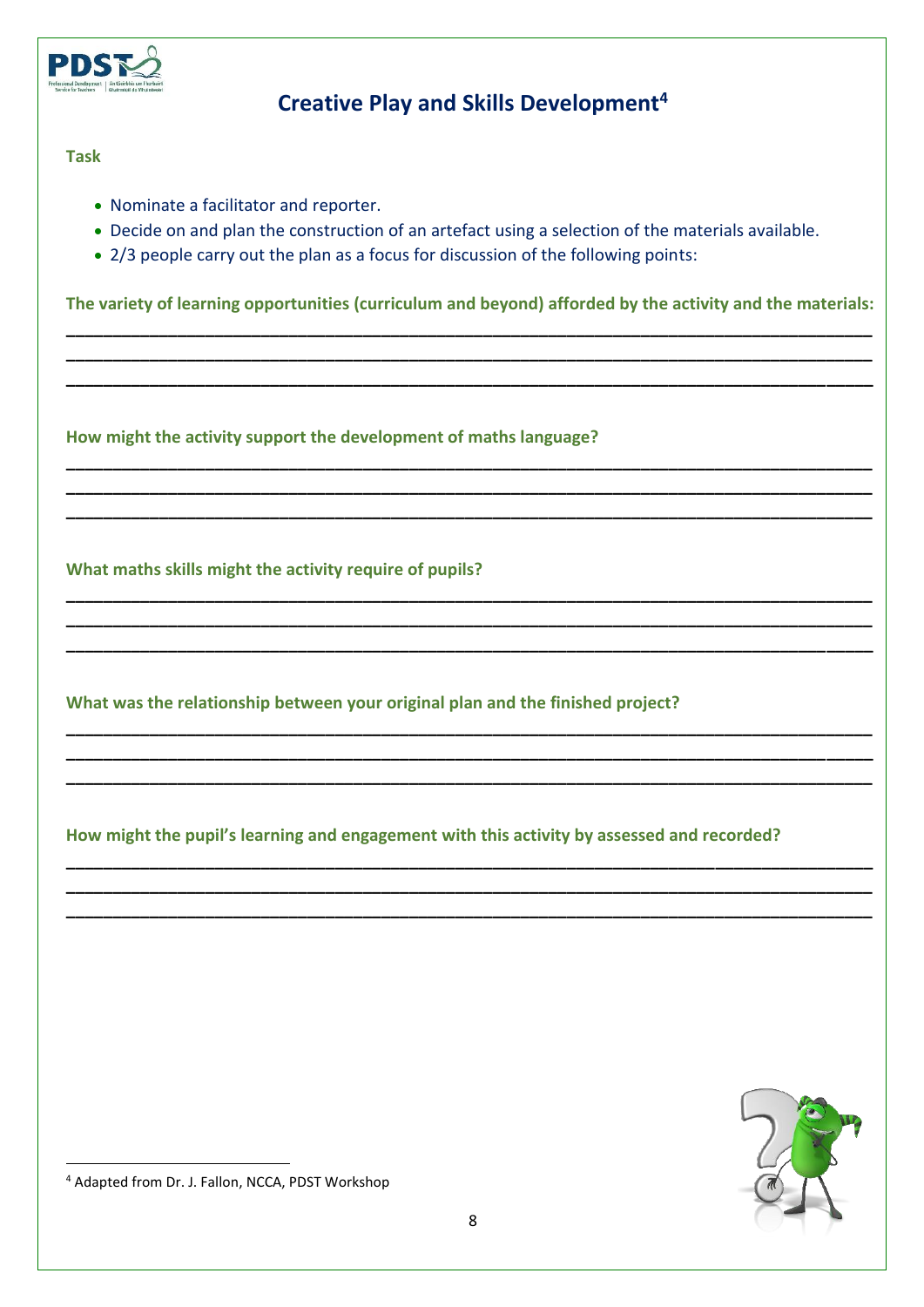

### **Creative Play and Skills Development<sup>4</sup>**

#### **Task**

- Nominate a facilitator and reporter.
- Decide on and plan the construction of an artefact using a selection of the materials available.
- 2/3 people carry out the plan as a focus for discussion of the following points:

**The variety of learning opportunities (curriculum and beyond) afforded by the activity and the materials: \_\_\_\_\_\_\_\_\_\_\_\_\_\_\_\_\_\_\_\_\_\_\_\_\_\_\_\_\_\_\_\_\_\_\_\_\_\_\_\_\_\_\_\_\_\_\_\_\_\_\_\_\_\_\_\_\_\_\_\_\_\_\_\_\_\_\_\_\_\_\_\_\_\_\_\_\_\_\_\_\_\_\_\_\_\_\_**

**\_\_\_\_\_\_\_\_\_\_\_\_\_\_\_\_\_\_\_\_\_\_\_\_\_\_\_\_\_\_\_\_\_\_\_\_\_\_\_\_\_\_\_\_\_\_\_\_\_\_\_\_\_\_\_\_\_\_\_\_\_\_\_\_\_\_\_\_\_\_\_\_\_\_\_\_\_\_\_\_\_\_\_\_\_\_\_ \_\_\_\_\_\_\_\_\_\_\_\_\_\_\_\_\_\_\_\_\_\_\_\_\_\_\_\_\_\_\_\_\_\_\_\_\_\_\_\_\_\_\_\_\_\_\_\_\_\_\_\_\_\_\_\_\_\_\_\_\_\_\_\_\_\_\_\_\_\_\_\_\_\_\_\_\_\_\_\_\_\_\_\_\_\_\_**

**\_\_\_\_\_\_\_\_\_\_\_\_\_\_\_\_\_\_\_\_\_\_\_\_\_\_\_\_\_\_\_\_\_\_\_\_\_\_\_\_\_\_\_\_\_\_\_\_\_\_\_\_\_\_\_\_\_\_\_\_\_\_\_\_\_\_\_\_\_\_\_\_\_\_\_\_\_\_\_\_\_\_\_\_\_\_\_ \_\_\_\_\_\_\_\_\_\_\_\_\_\_\_\_\_\_\_\_\_\_\_\_\_\_\_\_\_\_\_\_\_\_\_\_\_\_\_\_\_\_\_\_\_\_\_\_\_\_\_\_\_\_\_\_\_\_\_\_\_\_\_\_\_\_\_\_\_\_\_\_\_\_\_\_\_\_\_\_\_\_\_\_\_\_\_ \_\_\_\_\_\_\_\_\_\_\_\_\_\_\_\_\_\_\_\_\_\_\_\_\_\_\_\_\_\_\_\_\_\_\_\_\_\_\_\_\_\_\_\_\_\_\_\_\_\_\_\_\_\_\_\_\_\_\_\_\_\_\_\_\_\_\_\_\_\_\_\_\_\_\_\_\_\_\_\_\_\_\_\_\_\_\_**

**\_\_\_\_\_\_\_\_\_\_\_\_\_\_\_\_\_\_\_\_\_\_\_\_\_\_\_\_\_\_\_\_\_\_\_\_\_\_\_\_\_\_\_\_\_\_\_\_\_\_\_\_\_\_\_\_\_\_\_\_\_\_\_\_\_\_\_\_\_\_\_\_\_\_\_\_\_\_\_\_\_\_\_\_\_\_\_ \_\_\_\_\_\_\_\_\_\_\_\_\_\_\_\_\_\_\_\_\_\_\_\_\_\_\_\_\_\_\_\_\_\_\_\_\_\_\_\_\_\_\_\_\_\_\_\_\_\_\_\_\_\_\_\_\_\_\_\_\_\_\_\_\_\_\_\_\_\_\_\_\_\_\_\_\_\_\_\_\_\_\_\_\_\_\_ \_\_\_\_\_\_\_\_\_\_\_\_\_\_\_\_\_\_\_\_\_\_\_\_\_\_\_\_\_\_\_\_\_\_\_\_\_\_\_\_\_\_\_\_\_\_\_\_\_\_\_\_\_\_\_\_\_\_\_\_\_\_\_\_\_\_\_\_\_\_\_\_\_\_\_\_\_\_\_\_\_\_\_\_\_\_\_**

**\_\_\_\_\_\_\_\_\_\_\_\_\_\_\_\_\_\_\_\_\_\_\_\_\_\_\_\_\_\_\_\_\_\_\_\_\_\_\_\_\_\_\_\_\_\_\_\_\_\_\_\_\_\_\_\_\_\_\_\_\_\_\_\_\_\_\_\_\_\_\_\_\_\_\_\_\_\_\_\_\_\_\_\_\_\_\_ \_\_\_\_\_\_\_\_\_\_\_\_\_\_\_\_\_\_\_\_\_\_\_\_\_\_\_\_\_\_\_\_\_\_\_\_\_\_\_\_\_\_\_\_\_\_\_\_\_\_\_\_\_\_\_\_\_\_\_\_\_\_\_\_\_\_\_\_\_\_\_\_\_\_\_\_\_\_\_\_\_\_\_\_\_\_\_ \_\_\_\_\_\_\_\_\_\_\_\_\_\_\_\_\_\_\_\_\_\_\_\_\_\_\_\_\_\_\_\_\_\_\_\_\_\_\_\_\_\_\_\_\_\_\_\_\_\_\_\_\_\_\_\_\_\_\_\_\_\_\_\_\_\_\_\_\_\_\_\_\_\_\_\_\_\_\_\_\_\_\_\_\_\_\_**

**\_\_\_\_\_\_\_\_\_\_\_\_\_\_\_\_\_\_\_\_\_\_\_\_\_\_\_\_\_\_\_\_\_\_\_\_\_\_\_\_\_\_\_\_\_\_\_\_\_\_\_\_\_\_\_\_\_\_\_\_\_\_\_\_\_\_\_\_\_\_\_\_\_\_\_\_\_\_\_\_\_\_\_\_\_\_\_ \_\_\_\_\_\_\_\_\_\_\_\_\_\_\_\_\_\_\_\_\_\_\_\_\_\_\_\_\_\_\_\_\_\_\_\_\_\_\_\_\_\_\_\_\_\_\_\_\_\_\_\_\_\_\_\_\_\_\_\_\_\_\_\_\_\_\_\_\_\_\_\_\_\_\_\_\_\_\_\_\_\_\_\_\_\_\_ \_\_\_\_\_\_\_\_\_\_\_\_\_\_\_\_\_\_\_\_\_\_\_\_\_\_\_\_\_\_\_\_\_\_\_\_\_\_\_\_\_\_\_\_\_\_\_\_\_\_\_\_\_\_\_\_\_\_\_\_\_\_\_\_\_\_\_\_\_\_\_\_\_\_\_\_\_\_\_\_\_\_\_\_\_\_\_**

**How might the activity support the development of maths language?**

**What maths skills might the activity require of pupils?**

**What was the relationship between your original plan and the finished project?**

**How might the pupil's learning and engagement with this activity by assessed and recorded?**



 $\overline{a}$ <sup>4</sup> Adapted from Dr. J. Fallon, NCCA, PDST Workshop